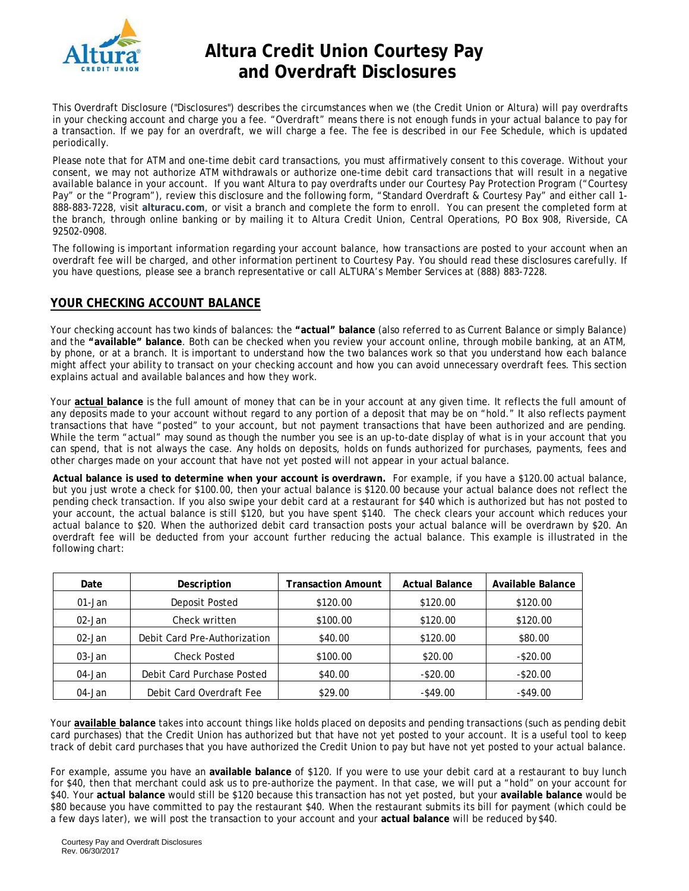

# **Altura Credit Union Courtesy Pay and Overdraft Disclosures**

This Overdraft Disclosure ("Disclosures") describes the circumstances when we (the Credit Union or Altura) will pay overdrafts in your checking account and charge you a fee. "Overdraft" means there is not enough funds in your actual balance to pay for a transaction. If we pay for an overdraft, we will charge a fee. The fee is described in our Fee Schedule, which is updated periodically.

Please note that for ATM and one-time debit card transactions, you must affirmatively consent to this coverage. Without your consent, we may not authorize ATM withdrawals or authorize one-time debit card transactions that will result in a negative available balance in your account. If you want Altura to pay overdrafts under our Courtesy Pay Protection Program ("Courtesy Pay" or the "Program"), review this disclosure and the following form, "Standard Overdraft & Courtesy Pay" and either call 1- 888-883-7228, visit **alturacu.com**, or visit a branch and complete the form to enroll. You can present the completed form at the branch, through online banking or by mailing it to Altura Credit Union, Central Operations, PO Box 908, Riverside, CA 92502-0908.

The following is important information regarding your account balance, how transactions are posted to your account when an overdraft fee will be charged, and other information pertinent to Courtesy Pay. You should read these disclosures carefully. If you have questions, please see a branch representative or call ALTURA's Member Services at (888) 883-7228.

#### **YOUR CHECKING ACCOUNT BALANCE**

Your checking account has two kinds of balances: the **"actual" balance** (also referred to as Current Balance or simply Balance) and the **"available" balance**. Both can be checked when you review your account online, through mobile banking, at an ATM, by phone, or at a branch. It is important to understand how the two balances work so that you understand how each balance might affect your ability to transact on your checking account and how you can avoid unnecessary overdraft fees. This section explains actual and available balances and how they work.

Your **actual balance** is the full amount of money that can be in your account at any given time. It reflects the full amount of any deposits made to your account without regard to any portion of a deposit that may be on "hold." It also reflects payment transactions that have "posted" to your account, but not payment transactions that have been authorized and are pending. While the term "actual" may sound as though the number you see is an up-to-date display of what is in your account that you can spend, that is not always the case. Any holds on deposits, holds on funds authorized for purchases, payments, fees and other charges made on your account that have not yet posted will not appear in your actual balance.

**Actual balance is used to determine when your account is overdrawn.** For example, if you have a \$120.00 actual balance, but you just wrote a check for \$100.00, then your actual balance is \$120.00 because your actual balance does not reflect the pending check transaction. If you also swipe your debit card at a restaurant for \$40 which is authorized but has not posted to your account, the actual balance is still \$120, but you have spent \$140. The check clears your account which reduces your actual balance to \$20. When the authorized debit card transaction posts your actual balance will be overdrawn by \$20. An overdraft fee will be deducted from your account further reducing the actual balance. This example is illustrated in the following chart:

| Date       | Description                  | <b>Transaction Amount</b> | <b>Actual Balance</b> | Available Balance |
|------------|------------------------------|---------------------------|-----------------------|-------------------|
| $01 - Jan$ | Deposit Posted               | \$120.00                  | \$120.00              | \$120.00          |
| $02 - Jan$ | Check written                | \$100.00                  | \$120.00              | \$120.00          |
| 02-Jan     | Debit Card Pre-Authorization | \$40.00                   | \$120.00              | \$80.00           |
| 03-Jan     | <b>Check Posted</b>          | \$100.00                  | \$20.00               | $-$ \$20.00       |
| 04-Jan     | Debit Card Purchase Posted   | \$40.00                   | $-$20.00$             | $-$ \$20.00       |
| 04-Jan     | Debit Card Overdraft Fee     | \$29.00                   | $-$ \$49.00           | $-$ \$49.00       |

Your **available balance** takes into account things like holds placed on deposits and pending transactions (such as pending debit card purchases) that the Credit Union has authorized but that have not yet posted to your account. It is a useful tool to keep track of debit card purchases that you have authorized the Credit Union to pay but have not yet posted to your actual balance.

For example, assume you have an **available balance** of \$120. If you were to use your debit card at a restaurant to buy lunch for \$40, then that merchant could ask us to pre-authorize the payment. In that case, we will put a "hold" on your account for \$40. Your **actual balance** would still be \$120 because this transaction has not yet posted, but your **available balance** would be \$80 because you have committed to pay the restaurant \$40. When the restaurant submits its bill for payment (which could be a few days later), we will post the transaction to your account and your **actual balance** will be reduced by \$40.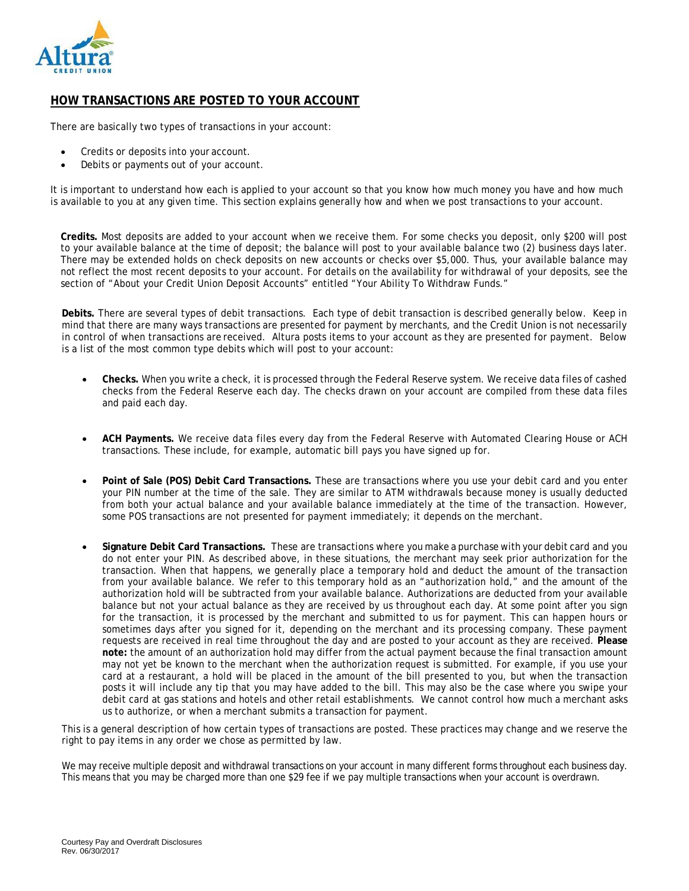

### **HOW TRANSACTIONS ARE POSTED TO YOUR ACCOUNT**

There are basically two types of transactions in your account:

- Credits or deposits into your account.
- Debits or payments out of your account.

It is important to understand how each is applied to your account so that you know how much money you have and how much is available to you at any given time. This section explains generally how and when we post transactions to your account.

**Credits.** Most deposits are added to your account when we receive them. For some checks you deposit, only \$200 will post to your available balance at the time of deposit; the balance will post to your available balance two (2) business days later. There may be extended holds on check deposits on new accounts or checks over \$5,000. Thus, your available balance may not reflect the most recent deposits to your account. For details on the availability for withdrawal of your deposits, see the section of "About your Credit Union Deposit Accounts" entitled "Your Ability To Withdraw Funds."

**Debits.** There are several types of debit transactions. Each type of debit transaction is described generally below. Keep in mind that there are many ways transactions are presented for payment by merchants, and the Credit Union is not necessarily in control of when transactions are received. Altura posts items to your account as they are presented for payment. Below is a list of the most common type debits which will post to your account:

- **Checks.** When you write a check, it is processed through the Federal Reserve system. We receive data files of cashed checks from the Federal Reserve each day. The checks drawn on your account are compiled from these data files and paid each day.
- **ACH Payments.** We receive data files every day from the Federal Reserve with Automated Clearing House or ACH transactions. These include, for example, automatic bill pays you have signed up for.
- **Point of Sale (POS) Debit Card Transactions.** These are transactions where you use your debit card and you enter your PIN number at the time of the sale. They are similar to ATM withdrawals because money is usually deducted from both your actual balance and your available balance immediately at the time of the transaction. However, some POS transactions are not presented for payment immediately; it depends on the merchant.
- **Signature Debit Card Transactions.** These are transactions where you make a purchase with your debit card and you do not enter your PIN. As described above, in these situations, the merchant may seek prior authorization for the transaction. When that happens, we generally place a temporary hold and deduct the amount of the transaction from your available balance. We refer to this temporary hold as an "authorization hold," and the amount of the authorization hold will be subtracted from your available balance. Authorizations are deducted from your available balance but not your actual balance as they are received by us throughout each day. At some point after you sign for the transaction, it is processed by the merchant and submitted to us for payment. This can happen hours or sometimes days after you signed for it, depending on the merchant and its processing company. These payment requests are received in real time throughout the day and are posted to your account as they are received. **Please note:** the amount of an authorization hold may differ from the actual payment because the final transaction amount may not yet be known to the merchant when the authorization request is submitted. For example, if you use your card at a restaurant, a hold will be placed in the amount of the bill presented to you, but when the transaction posts it will include any tip that you may have added to the bill. This may also be the case where you swipe your debit card at gas stations and hotels and other retail establishments. We cannot control how much a merchant asks us to authorize, or when a merchant submits a transaction for payment.

This is a general description of how certain types of transactions are posted. These practices may change and we reserve the right to pay items in any order we chose as permitted by law.

We may receive multiple deposit and withdrawal transactions on your account in many different forms throughout each business day. This means that you may be charged more than one \$29 fee if we pay multiple transactions when your account is overdrawn.